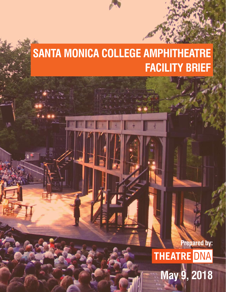# **SANTA MONICA COLLEGE AMPHITHEATRE FACILITY BRIEF**

**Prepared by: THEATRE DNA May 9, 2018**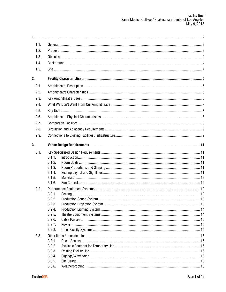| 1.1. |                  |  |  |  |  |  |
|------|------------------|--|--|--|--|--|
| 1.2. |                  |  |  |  |  |  |
| 1.3. |                  |  |  |  |  |  |
| 1.4. |                  |  |  |  |  |  |
| 1.5. |                  |  |  |  |  |  |
| 2.   |                  |  |  |  |  |  |
| 2.1. |                  |  |  |  |  |  |
| 2.2. |                  |  |  |  |  |  |
| 2.3. |                  |  |  |  |  |  |
| 2.4. |                  |  |  |  |  |  |
| 2.5. |                  |  |  |  |  |  |
| 2.6. |                  |  |  |  |  |  |
| 2.7. |                  |  |  |  |  |  |
|      |                  |  |  |  |  |  |
| 2.8. |                  |  |  |  |  |  |
| 2.9. |                  |  |  |  |  |  |
| 3.   |                  |  |  |  |  |  |
| 3.1. |                  |  |  |  |  |  |
|      | 3.1.1.           |  |  |  |  |  |
|      | 3.1.2.           |  |  |  |  |  |
|      | 3.1.3.           |  |  |  |  |  |
|      | 3.1.4.<br>3.1.5. |  |  |  |  |  |
|      | 3.1.6.           |  |  |  |  |  |
| 3.2. |                  |  |  |  |  |  |
|      | 3.2.1.           |  |  |  |  |  |
|      | 3.2.2.           |  |  |  |  |  |
|      | 3.2.3.           |  |  |  |  |  |
|      | 3.2.4.           |  |  |  |  |  |
|      | 3.2.5.           |  |  |  |  |  |
|      | 3.2.6.           |  |  |  |  |  |
|      | 3.2.7.           |  |  |  |  |  |
|      | 3.2.8.           |  |  |  |  |  |
| 3.3. |                  |  |  |  |  |  |
|      | 3.3.1.           |  |  |  |  |  |
|      | 3.3.2.           |  |  |  |  |  |
|      | 3.3.3.           |  |  |  |  |  |
|      | 3.3.4.           |  |  |  |  |  |
|      | 3.3.5.           |  |  |  |  |  |
|      | 3.3.6.           |  |  |  |  |  |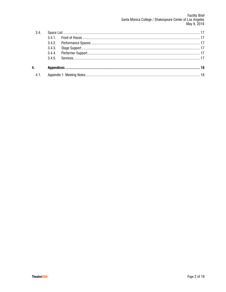| 3.4. |  |  |  |  |
|------|--|--|--|--|
|      |  |  |  |  |
|      |  |  |  |  |
|      |  |  |  |  |
|      |  |  |  |  |
|      |  |  |  |  |
| 4.   |  |  |  |  |
| 4.1. |  |  |  |  |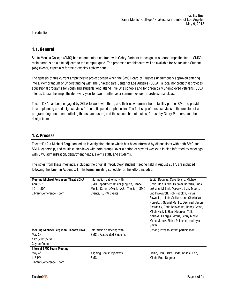Introduction

## 1.1. General

Santa Monica College (SMC) has entered into a contract with Gehry Partners to design an outdoor amphitheater on SMC's main campus on a site adjacent to the campus quad. The proposed amphitheatre will be available for Associated Student (AS) events, especially for the bi-weekly activity hour.

The genesis of this current amphitheatre project began when the SMC Board of Trustees unanimously approved entering into a Memorandum of Understanding with The Shakespeare Center of Los Angeles (SCLA), a local nonprofit that provides educational programs for youth and students who attend Title One schools and for chronically unemployed veterans. SCLA intends to use the amphitheater every year for two months, as a summer venue for professional plays.

TheatreDNA has been engaged by SCLA to work with them, and their new summer home facility partner SMC, to provide theatre planning and design services for an anticipated amphitheatre. The first step of those services is the creation of a programming document outlining the use and users, and the space characteristics, for use by Gehry Partners, and the design team.

## 1.2. Process

TheatreDNA's Michael Ferguson led an investigation phase which has been informed by discussions with both SMC and SCLA leadership, and multiple interviews with both groups, over a period of several weeks. It is also informed by meetings with SMC administration, department heads, events staff, and students.

The notes from these meetings, including the original introductory student meeting held in August 2017, are included following this brief, in Appendix 1. The formal meeting schedule for this effort included:

| <b>Meeting Michael Ferguson, TheatreDNA</b>  | Information gathering with              | Judith Douglas, Carol Evans, Michael        |  |
|----------------------------------------------|-----------------------------------------|---------------------------------------------|--|
| April 27 <sup>th</sup>                       | SMC Department Chairs (English, Dance,  | Greig, Don Girard, Dagmar Gorman, Erica     |  |
| 10-11:30A                                    | Music, Comms/Media, A.S., Theater), SMC | LeBlanc, Melanie Makaiwi, Lizzy Moore,      |  |
| Library Conference Room                      | Events, KCRW Events                     | Eric Pivovaroff, Rob Rudolph, Perviz        |  |
|                                              |                                         | Sawoski,, Linda Sullivan, and Charlie Yen;  |  |
|                                              |                                         | Non-staff: Gabriel Murillo; Declined: Jason |  |
|                                              |                                         | Beardsley, Chris Bonvenuto, Nancy Grass,    |  |
|                                              |                                         | Mitch Heskel, Eleni Hioureas, Yulia         |  |
|                                              |                                         | Kozlova, Georgia Lorenz, Jenny Merlic,      |  |
|                                              |                                         | Maria Munoz, Elaine Polachek, and Kyle      |  |
|                                              |                                         | <b>Smith</b>                                |  |
| <b>Meeting Michael Ferguson, Theatre DNA</b> | Information gathering with              | Serving Pizza to attract participation      |  |
| May 3rd                                      | <b>SMC's Associated Students</b>        |                                             |  |
| 11:15-12:35PM                                |                                         |                                             |  |
| <b>Cayton Center</b>                         |                                         |                                             |  |
| Internal SMC Team Meeting                    |                                         |                                             |  |
| May 4 <sup>th</sup>                          | Aligning Goals/Objectives               | Elaine, Don, Lizzy, Linda, Charlie, Eric,   |  |
| 1-3 PM                                       | SMC                                     | Mitch, Rob, Dagmar                          |  |
| Library Conference Room                      |                                         |                                             |  |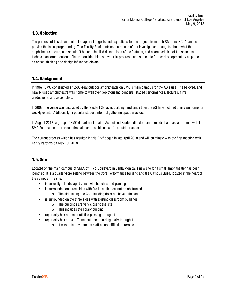# 1.3. Objective

The purpose of this document is to capture the goals and aspirations for the project, from both SMC and SCLA, and to provide the initial programming. This Facility Brief contains the results of our investigation, thoughts about what the amphitheatre should, and shouldn't be, and detailed descriptions of the features, and characteristics of the space and technical accommodations. Please consider this as a work-in-progress, and subject to further development by all parties as critical thinking and design influences dictate.

# 1.4. Background

In 1967, SMC constructed a 1,500-seat outdoor amphitheater on SMC's main campus for the AS's use. The beloved, and heavily used amphitheatre was home to well over two thousand concerts, staged performances, lectures, films, graduations, and assemblies.

In 2008, the venue was displaced by the Student Services building, and since then the AS have not had their own home for weekly events. Additionally, a popular student informal gathering space was lost.

In August 2017, a group of SMC department chairs, Associated Student directors and president ambassadors met with the SMC Foundation to provide a first take on possible uses of the outdoor space.

The current process which has resulted in this Brief began in late April 2018 and will culminate with the first meeting with Gehry Partners on May 10, 2018.

# 1.5. Site

Located on the main campus of SMC, off Pico Boulevard in Santa Monica, a new site for a small amphitheater has been identified. It is a quarter-acre setting between the Core Performance building and the Campus Quad, located in the heart of the campus. The site:

- is currently a landscaped zone, with benches and plantings.
- is surrounded on three sides with fire lanes that cannot be obstructed.
	- o The side facing the Core building does not have a fire lane.
	- is surrounded on the three sides with existing classroom buildings
		- o The buildings are very close to the site
		- o This includes the library building
- reportedly has no major utilities passing through it
- reportedly has a main IT line that does run diagonally through it
	- o It was noted by campus staff as not difficult to reroute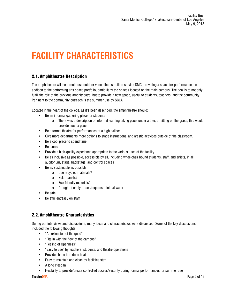# **2. FACILITY CHARACTERISTICS**

# 2.1. Amphitheatre Description

The amphitheatre will be a multi-use outdoor venue that is built to service SMC, providing a space for performance, an addition to the performing arts space portfolio, particularly the spaces located on the main campus. The goal is to not only fulfill the role of the previous amphitheatre, but to provide a new space, useful to students, teachers, and the community. Pertinent to the community outreach is the summer use by SCLA.

Located in the heart of the college, as it's been described, the amphitheatre should:

- Be an informal gathering place for students
	- $\circ$  There was a description of informal learning taking place under a tree, or sitting on the grass; this would provide such a place
- Be a formal theatre for performances of a high caliber
- Give more departments more options to stage instructional and artistic activities outside of the classroom.
- Be a cool place to spend time
- Be iconic
- Provide a high-quality experience appropriate to the various uses of the facility
- Be as inclusive as possible, accessible by all, including wheelchair bound students, staff, and artists, in all auditorium, stage, backstage, and control spaces
- Be as sustainable as possible
	- o Use recycled materials?
	- o Solar panels?
	- o Eco-friendly materials?
	- o Drought friendly uses/requires minimal water
- Be safe
- Be efficient/easy on staff

# 2.2. Amphitheatre Characteristics

During our interviews and discussions, many ideas and characteristics were discussed. Some of the key discussions included the following thoughts:

- "An extension of the quad"
- "Fits in with the flow of the campus"
- "Feeling of Openness"
- "Easy to use" by teachers, students, and theatre operations
- Provide shade to reduce heat
- Easy to maintain and clean by facilities staff
- A long lifespan
- Flexibility to provide/create controlled access/security during formal performances, or summer use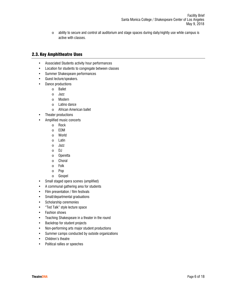o ability to secure and control all auditorium and stage spaces during daily/nightly use while campus is active with classes.

### 2.3. Key Amphitheatre Uses

- Associated Students activity hour performances
- Location for students to congregate between classes
- Summer Shakespeare performances
- Guest lecture/speakers.
- Dance productions
	- o Ballet
	- o Jazz
	- o Modern
	- o Latino dance
	- o African American ballet
- Theater productions
	- Amplified music concerts
		- o Rock
		- o EDM
		- o World
		- o Latin
		- o Jazz
		- o DJ
		- o Operetta
		- o Choral
		- o Folk
		- o Pop
		- o Gospel
- Small staged opera scenes (amplified)
- A communal gathering area for students
- Film presentation / film festivals
- Small/departmental graduations
- Scholarship ceremonies
- "Ted Talk" style lecture space
- Fashion shows
- Teaching Shakespeare in a theater in the round
- Backdrop for student projects
- Non-performing arts major student productions
- Summer camps conducted by outside organizations
- Children's theatre
- Political rallies or speeches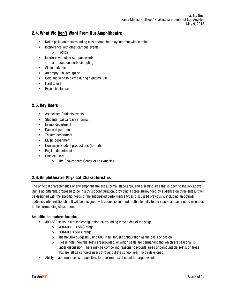# 2.4. What We Don't Want From Our Amphitheatre

- Noise pollution to surrounding classrooms that may interfere with learning
- Interference with other campus events
	- o Football
- Interfere with other campus events
	- o Loud concerts disrupting
- Skate park use
- An empty, unused space
- Cold and wind to pierce during nighttime use
- Hard to use
- Expensive to use

### 2.5. Key Users

- Associated Students events
- Students (casual/daily informal)
- Events department
- Dance department
- Theatre department
- Music department
- Non-major student productions (formal)
- English department
- Outside users
	- o The Shakespeare Center of Los Angeles

# 2.6. Amphitheatre Physical Characteristics

The principal characteristics of any amphitheatre are a formal stage area, and a seating area that is open to the sky above. Our is no different, proposed to be in a thrust configuration, providing a stage surrounded by audience on three sides. It will be designed with the specific needs of the anticipated performance types discussed previously, including an optimal audience/artist relationship. It will be designed with acoustics in mind, both internally to the space, and as a good neighbor, to the surrounding classrooms.

### **Amphitheatre features include:**

- 400-600 seats in a raked configuration, surrounding three sides of the stage
	- $\circ$  400-600 + is SMC range
	- $\circ$  500-600 is SCLA range
	- o TheatreDNA suggests using 600 in full thrust configuration as the basis of design
	- $\circ$  Please note: how the seats are provided, or which seats are permanent and which are seasonal, is under discussion. There may be compelling reasons to provide areas of demountable seats, or areas that are left as concrete risers throughout the school year. To be developed.
- Ability to add more seats, if possible, for maximum seat count for larger events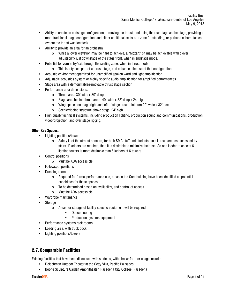Facility Brief Santa Monica College / Shakespeare Center of Los Angeles May 9, 2018

- Ability to create an endstage configuration, removing the thrust, and using the rear stage as the stage, providing a more traditional stage configuration, and either additional seats or a zone for standing, or perhaps cabaret tables (where the thrust was located).
- Ability to provide an area for an orchestra
	- o While a lower elevation may be hard to achieve, a "Mozart" pit may be achievable with clever adjustability just downstage of the stage front, when in endstage mode.
- Potential for vom entry/exit through the seating zone, when in thrust mode
	- $\circ$  This is a typical part of a thrust stage, and enhances the use of that configuration
- Acoustic environment optimized for unamplified spoken word and light amplification
- Adjustable acoustics system or highly specific audio amplification for amplified performances
- Stage area with a demountable/removable thrust stage section
- Performance area dimensions:
	- o Thrust area: 30' wide x 30' deep
	- o Stage area behind thrust area: 40' wide x 32' deep x 24' high
	- o Wing spaces on stage right and left of stage area: minimum 20' wide x 32' deep
	- o Scenic/rigging structure above stage: 24' high
- High quality technical systems, including production lighting, production sound and communications, production video/projection, and over stage rigging.

### **Other Key Spaces:**

- Lighting positions/towers
	- $\circ$  Safety is of the utmost concern, for both SMC staff and students, so all areas are best accessed by stairs. If ladders are required, then it is desirable to minimize their use. So one ladder to access 6 lighting towers is more desirable than 6 ladders at 6 towers.
- Control positions
	- o Must be ADA accessible
- Followspot positions
- Dressing rooms
	- $\circ$  Required for formal performance use, areas in the Core building have been identified as potential candidates for these spaces
	- o To be determined based on availability, and control of access
	- o Must be ADA accessible
- Wardrobe maintenance
- **Storage** 
	- o Areas for storage of facility specific equipment will be required
		- **-** Dance flooring
		- Production systems equipment
- Performance systems rack rooms
- Loading area, with truck dock
- Lighting positions/towers

# 2.7. Comparable Facilities

Existing facilities that have been discussed with students, with similar form or usage include:

- Fleischman Outdoor Theater at the Getty Villa, Pacific Palisades
- Boone Sculpture Garden Amphitheater, Pasadena City College, Pasadena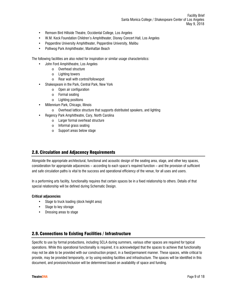Facility Brief Santa Monica College / Shakespeare Center of Los Angeles May 9, 2018

- Remsen Bird Hillside Theatre, Occidental College, Los Angeles
- W.M. Keck Foundation Children's Amphitheater, Disney Concert Hall, Los Angeles
- Pepperdine University Amphitheater, Pepperdine University, Malibu
- Polliwog Park Amphitheater, Manhattan Beach

The following facilities are also noted for inspiration or similar usage characteristics:

- John Ford Amphitheatre, Los Angeles
	- o Overhead structure
	- o Lighting towers
	- o Rear wall with control/followspot
- Shakespeare in the Park, Central Park, New York
	- o Open air configuration
	- o Formal seating
	- o Lighting positions
- Millennium Park, Chicago, Illinois
	- o Overhead lattice structure that supports distributed speakers, and lighting
- Regency Park Amphitheatre, Cary, North Carolina
	- o Larger formal overhead structure
		- o Informal grass seating
		- o Support areas below stage

### 2.8. Circulation and Adjacency Requirements

Alongside the appropriate architectural, functional and acoustic design of the seating area, stage, and other key spaces, consideration for appropriate adjacencies – according to each space's required function – and the provision of sufficient and safe circulation paths is vital to the success and operational efficiency of the venue, for all uses and users.

In a performing arts facility, functionality requires that certain spaces be in a fixed relationship to others. Details of that special relationship will be defined during Schematic Design.

#### **Critical adjacencies**

- Stage to truck loading (dock height area)
- Stage to key storage
- Dressing areas to stage

### 2.9. Connections to Existing Facilities / Infrastructure

Specific to use by formal productions, including SCLA during summers, various other spaces are required for typical operations. While this operational functionality is required, it is acknowledged that the spaces to achieve that functionality may not be able to be provided with our construction project, in a fixed/permanent manner. These spaces, while critical to provide, may be provided temporarily, or by using existing facilities and infrastructure. The spaces will be identified in this document, and provision/inclusion will be determined based on availability of space and funding.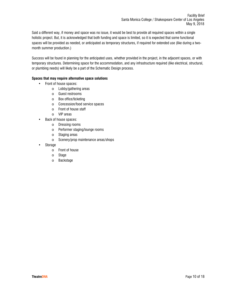Said a different way, if money and space was no issue, it would be best to provide all required spaces within a single holistic project. But, it is acknowledged that both funding and space is limited, so it is expected that some functional spaces will be provided as needed, or anticipated as temporary structures, if required for extended use (like during a twomonth summer production.)

Success will be found in planning for the anticipated uses, whether provided in the project, in the adjacent spaces, or with temporary structures. Determining space for the accommodation, and any infrastructure required (like electrical, structural, or plumbing needs) will likely be a part of the Schematic Design process.

### **Spaces that may require alternative space solutions**

- Front of house spaces:
	- o Lobby/gathering areas
	- o Guest restrooms
	- o Box office/ticketing
	- o Concession/food service spaces
	- o Front of house staff
	- o VIP areas
- Back of house spaces:
	- o Dressing rooms
	- o Performer staging/lounge rooms
	- o Staging areas
	- o Scenery/prop maintenance areas/shops
- Storage
	- o Front of house
	- o Stage
	- o Backstage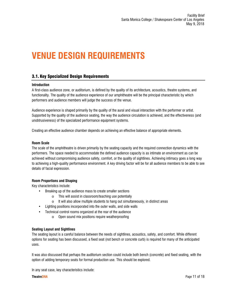# **3. VENUE DESIGN REQUIREMENTS**

# 3.1. Key Specialized Design Requirements

### **3.1.1. Introduction**

A first-class audience zone, or auditorium, is defined by the quality of its architecture, acoustics, theatre systems, and functionality. The quality of the audience experience of our amphitheatre will be the principal characteristic by which performers and audience members will judge the success of the venue.

Audience experience is shaped primarily by the quality of the aural and visual interaction with the performer or artist. Supported by the quality of the audience seating, the way the audience circulation is achieved, and the effectiveness (and unobtrusiveness) of the specialized performance equipment systems.

Creating an effective audience chamber depends on achieving an effective balance of appropriate elements.

### **3.1.2. Room Scale**

The scale of the amphitheatre is driven primarily by the seating capacity and the required connection dynamics with the performers. The space needed to accommodate the defined audience capacity is as intimate an environment as can be achieved without compromising audience safety, comfort, or the quality of sightlines. Achieving intimacy goes a long way to achieving a high-quality performance environment. A key driving factor will be for all audience members to be able to see details of facial expression.

### **3.1.3. Room Proportions and Shaping**

Key characteristics include:

- Breaking up of the audience mass to create smaller sections
	- o This will assist in classroom/teaching use potentially
	- $\circ$  It will also allow multiple students to hang out simultaneously, in distinct areas
- Lighting positions incorporated into the outer walls, and side walls
- Technical control rooms organized at the rear of the audience
	- $\circ$  Open sound mix positions require weatherproofing

### **3.1.4. Seating Layout and Sightlines**

The seating layout is a careful balance between the needs of sightlines, acoustics, safety, and comfort. While different options for seating has been discussed, a fixed seat (not bench or concrete curb) is required for many of the anticipated uses.

It was also discussed that perhaps the auditorium section could include both bench (concrete) and fixed seating, with the option of adding temporary seats for formal production use. This should be explored.

In any seat case, key characteristics include: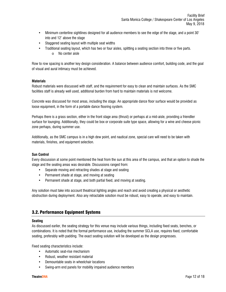- Minimum centerline sightlines designed for all audience members to see the edge of the stage, and a point 30' into and 12' above the stage
- Staggered seating layout with multiple seat widths
- Traditional seating layout, which has two or four aisles, splitting a seating section into three or five parts. o No center aisle

Row to row spacing is another key design consideration. A balance between audience comfort, building code, and the goal of visual and aural intimacy must be achieved.

### **3.1.5. Materials**

Robust materials were discussed with staff, and the requirement for easy to clean and maintain surfaces. As the SMC facilities staff is already well used, additional burden from hard to maintain materials is not welcome.

Concrete was discussed for most areas, including the stage. An appropriate dance floor surface would be provided as loose equipment, in the form of a portable dance flooring system.

Perhaps there is a grass section, either in the front stage area (thrust) or perhaps at a mid-aisle, providing a friendlier surface for lounging. Additionally, they could be box or corporate suite type space, allowing for a wine and cheese picnic zone perhaps, during summer use.

Additionally, as the SMC campus is in a high dew point, and nautical zone, special care will need to be taken with materials, finishes, and equipment selection.

### **3.1.6. Sun Control**

Every discussion at some point mentioned the heat from the sun at this area of the campus, and that an option to shade the stage and the seating areas was desirable. Discussions ranged from:

- Separate moving and retracting shades at stage and seating
- Permanent shade at stage, and moving at seating
- Permanent shade at stage, and both partial fixed, and moving at seating.

Any solution must take into account theatrical lighting angles and reach and avoid creating a physical or aesthetic obstruction during deployment. Also any retractable solution must be robust, easy to operate, and easy to maintain.

### 3.2. Performance Equipment Systems

### **3.2.1. Seating**

As discussed earlier, the seating strategy for this venue may include various things, including fixed seats, benches, or combinations. It is noted that the formal performance use, including the summer SCLA use, requires fixed, comfortable seating, preferably with padding. The exact seating solution will be developed as the design progresses.

Fixed seating characteristics include:

- Automatic seat-rise mechanism
- Robust, weather resistant material
- Demountable seats in wheelchair locations
- Swing-arm end panels for mobility impaired audience members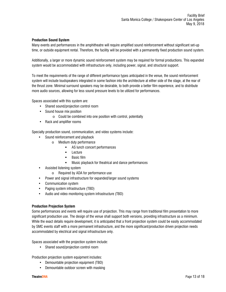### **3.2.2. Production Sound System**

Many events and performances in the amphitheatre will require amplified sound reinforcement without significant set-up time, or outside equipment rental. Therefore, the facility will be provided with a permanently fixed production sound system.

Additionally, a larger or more dynamic sound reinforcement system may be required for formal productions. This expanded system would be accommodated with infrastructure only, including power, signal, and structural support.

To meet the requirements of the range of different performance types anticipated in the venue, the sound reinforcement system will include loudspeakers integrated in some fashion into the architecture at either side of the stage, at the rear of the thrust zone. Minimal surround speakers may be desirable, to both provide a better film experience, and to distribute more audio sources, allowing for less sound pressure levels to be utilized for performances.

Spaces associated with this system are:

- Shared sound/projection control room
- Sound house mix position
	- $\circ$  Could be combined into one position with control, potentially
- Rack and amplifier rooms

Specialty production sound, communication, and video systems include:

- Sound reinforcement and playback
	- o Medium duty performance
		- AS lunch concert performances
		- **Lecture**
		- **Basic film**
		- Music playback for theatrical and dance performances
- Assisted listening system
	- o Required by ADA for performance use
- Power and signal infrastructure for expanded/larger sound systems
- Communication system
- Paging system infrastructure (TBD)
- Audio and video monitoring system infrastructure (TBD)

### **3.2.3. Production Projection System**

Some performances and events will require use of projection. This may range from traditional film presentation to more significant production use. The design of the venue shall support both versions, providing infrastructure as a minimum. While the exact details require development, it is anticipated that a front projection system could be easily accommodated by SMC events staff with a more permanent infrastructure, and the more significant/production driven projection needs accommodated by electrical and signal infrastructure only.

Spaces associated with the projection system include:

• Shared sound/projection control room

Production projection system equipment includes:

- Demountable projection equipment (TBD)
- Demountable outdoor screen with masking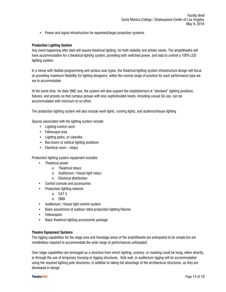• Power and signal infrastructure for expanded/larger projection systems.

### **3.2.4. Production Lighting System**

Any event happening after dark will require theatrical lighting, for both visibility and artistic needs. The amphitheatre will have accommodation for a theatrical lighting system, providing both switched power, and data to control a 100% LED lighting system.

In a venue with flexible programming and various user types, the theatrical lighting system infrastructure design will focus on providing maximum flexibility for lighting designers, within the normal range of practice for each performance type we are to accommodate.

At the same time, for daily SMC use, the system will also support the establishment of "standard" lighting positions, fixtures, and presets so that campus groups with less sophisticated needs, including casual SA use, can be accommodated with minimum to no effort.

The production lighting system will also include work lights, running lights, and audience/house lighting

Spaces associated with the lighting system include:

- Lighting control room
- Followspot area
- Lighting poles, or catwalks
- Box boom or vertical lighting positions
- Electrical room relays

Production lighting system equipment includes:

- Theatrical power
	- o Theatrical relays
	- o Auditorium / House light relays
	- o Electrical distribution
- Control console and accessories
- Production lighting network
	- o CAT 5
	- o DMX
- Auditorium / House light control system
- Basic assortment of outdoor rated production lighting fixtures
- Followspots
- Basic theatrical lighting accessories package

### **3.2.5. Theatre Equipment Systems**

The rigging capabilities for the stage area and forestage areas of the amphitheatre are anticipated to be simple but are nonetheless required to accommodate the wide range of performances anticipated.

Over stage capabilities are envisaged as a structure from which lighting, scenery, or masking could be hung, either directly, or through the use of temporary trussing or rigging structures. Side wall, or auditorium rigging will be accommodated using the required lighting pole structures, in addition to taking full advantage of the architectural structures, as they are developed in design.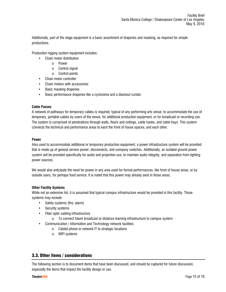Additionally, part of the stage equipment is a basic assortment of draperies and masking, as required for simple productions.

Production rigging system equipment includes:

- Chain motor distribution
	- o Power
	- o Control signal
	- o Control points
- Chain motor controller
- Chain motors with accessories
- Basic masking draperies
- Basic performance draperies like a cyclorama and a blackout curtain.

### **3.2.6. Cable Passes**

A network of pathways for temporary cables is required, typical of any performing arts venue, to accommodate the use of temporary, portable cables by users of the venue, for additional production equipment, or for broadcast or recording use. The system is comprised of penetrations through walls, floors and ceilings, cable hooks, and cable trays. This system connects the technical and performance areas to each the front of house spaces, and each other.

### **3.2.7. Power**

Also used to accommodate additional or temporary production equipment, a power infrastructure system will be provided that is made up of general service power, disconnects, and company switches. Additionally, an isolated ground power system will be provided specifically for audio and projection use, to maintain audio integrity, and separation from lighting power sources.

We would also anticipate the need for power in any area used for formal performances, like front of house areas, or by outside users, for perhaps food service. It is noted that this power may already exist in those areas.

### **3.2.8. Other Facility Systems**

While not an extensive list, it is assumed that typical campus infrastructure would be provided in this facility. Those systems may include:

- Safety systems (fire, alarm)
- Security systems
- Fiber optic cabling infrastructure
	- o To connect future broadcast or distance learning infrastructure to campus system
- Communication / Information and Technology network facilities
	- o Cabled phone or network IT to strategic locations
	- o WIFI systems

### 3.3. Other items / considerations

The following section is to document items that have been discussed, and should be captured for future discussion, especially the items that impact the facility design or use.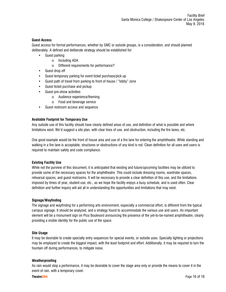### **3.3.1. Guest Access**

Guest access for formal performances, whether by SMC or outside groups, is a consideration, and should planned deliberately. A defined and deliberate strategy should be established for:

- Guest parking
	- o Including ADA
	- o Different requirements for performance?
- Guest drop off
- Guest temporary parking for event ticket purchase/pick up
- Guest path of travel from parking to front of house / "lobby" zone
- Guest ticket purchase and pickup
- Guest pre-show activities
	- o Audience experience/theming
	- o Food and beverage service
- Guest restroom access and sequence

### **3.3.2. Available Footprint for Temporary Use**

Any outside use of this facility should have clearly defined areas of use, and definition of what is possible and where limitations exist. We'd suggest a site plan, with clear lines of use, and obstruction, including the fire lanes, etc.

One good example would be the front of house area and use of a fire lane for entering the amphitheatre. While standing and walking in a fire lane is acceptable, structures or obstructions of any kind is not. Clean definition for all uses and users is required to maintain safety and code compliance.

### **3.3.3. Existing Facility Use**

While not the purview of this document, it is anticipated that existing and future/upcoming facilities may be utilized to provide some of the necessary spaces for the amphitheatre. This could include dressing rooms, wardrobe spaces, rehearsal spaces, and guest restrooms. It will be necessary to provide a clear definition of this use, and the limitations imposed by times of year, student use, etc., as we hope the facility enjoys a busy schedule, and is used often. Clear definition and further inquiry will aid all in understanding the opportunities and limitations that may exist.

### **3.3.4. Signage/Wayfinding**

The signage and wayfinding for a performing arts environment, especially a commercial effort, is different from the typical campus signage. It should be analyzed, and a strategy found to accommodate the various use and users. An important element will be a monument sign on Pico Boulevard announcing the presence of the yet-to-be-named amphitheatre, clearly providing a visible identity for the public use of the space.

### **3.3.5. Site Usage**

It may be desirable to create specialty entry sequences for special events, or outside uses. Specialty lighting or projections may be employed to create the biggest impact, with the least footprint and effort. Additionally, it may be required to turn the fountain off during performances, to mitigate noise.

### **3.3.6. Weatherproofing**

As rain would stop a performance, it may be desirable to cover the stage area only or provide the means to cover it in the event of rain, with a temporary cover.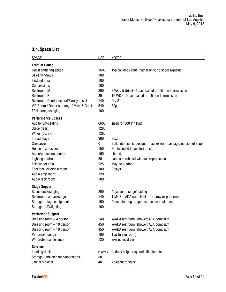# 3.4. Space List

| <b>SPACE</b>                             | <b>NSF</b> | <b>NOTES</b>                                                        |
|------------------------------------------|------------|---------------------------------------------------------------------|
| <b>Front of House</b>                    |            |                                                                     |
| Guest gathering space                    | 3600       | Typical lobby zone; gather only; no access/queing                   |
| Sales windows                            | 100        |                                                                     |
| First aid area                           | 100        |                                                                     |
| Concessions                              | 100        |                                                                     |
| Restroom: M                              | 200        | 3 WC / 5 Urinal / 5 Lav; based on 15 min intermission               |
| Restroom: F                              | 391        | 16 WC / 10 Lav; based on 15 min intermission                        |
| Restroom: Gender neutral/Family assist   | 140        | Qty 2                                                               |
| VIP Room / Donor's Lounge / Meet & Greet | 540        | 30p                                                                 |
| FOH storage/staging                      | 100        |                                                                     |
| <b>Performance Spaces</b>                |            |                                                                     |
| Auditorium/seating                       | 6600       | sized for 600 (11sf/p)                                              |
| Stage (rear)                             | 1280       |                                                                     |
| Wings (SL/SR)                            | 1280       |                                                                     |
| Thrust stage                             | 900        | 30x30                                                               |
| Crossover                                | 0          | Build into scenic design, or use exterior passage, outside of stage |
| House mix position                       | 150        | Not included in auditorium sf                                       |
| Audio/projection control                 | 160        | shared                                                              |
| Lighting control                         | 80         | can be combined with audio/projection                               |
| Followspot area                          | 225        | May be outdoor                                                      |
| Theatrical electrical room               | 100        | Relays                                                              |
| Audio amp room                           | 120        |                                                                     |
| Audio rack room                          | 100        |                                                                     |
| <b>Stage Support</b>                     |            |                                                                     |
| Scene dock/staging                       | 200        | Adjacent to stage/loading                                           |
| Restrooms at backstage                   | 140        | 1 M/1F - ADA compliant - for crew or performer                      |
| Storage - stage equipment                | 150        | Dance flooring, draperies, theatre equipment                        |
| Storage - AV/lighting                    | 100        |                                                                     |
| <b>Performer Support</b>                 |            |                                                                     |
| Dressing room - 4 person                 | 240        | w/ADA restroom, shower; AEA compliant                               |
| Dressing room - 10 person                | 450        | w/ADA restroom, shower; AEA compliant                               |
| Dressing room - 10 person                | 450        | w/ADA restroom, shower; AEA compliant                               |
| Performer lounge                         | 180        | 15p (green room)                                                    |
| Wardrobe maintenance                     | 120        | w/washer, dryer                                                     |
| <b>Services</b>                          |            |                                                                     |
| Loading dock                             | In Gross   | 4' dock height required; lift alternate                             |
| Storage - maintenance/operations         | 80         |                                                                     |
| Janitor's closet                         | 40         | Adjacent to stage                                                   |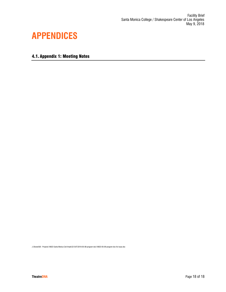# **4. APPENDICES**

4.1. Appendix 1: Meeting Notes

J:\Shared\00 - Projects\18822-Santa Monica Coll-Amph\22-OUT\2018-05-08-program doc\18822-05-09-program doc-for issue.doc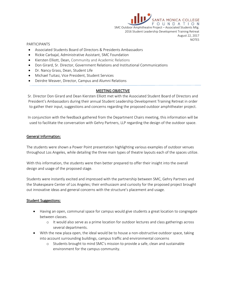NTA MONICA CO FOUNDATION SMC Outdoor Amphitheatre Project – Associated Students Mtg. 2016 Student Leadership Development Training Retreat August 22, 2017 **NOTES** 

### PARTICIPANTS

- Associated Students Board of Directors & Presidents Ambassadors
- Rickie Carbajal, Administrative Assistant, SMC Foundation
- Kiersten Elliott, Dean, Community and Academic Relations
- Don Girard, Sr. Director, Government Relations and Institutional Communications
- Dr. Nancy Grass, Dean, Student Life
- Michael Tuitasi, Vice President, Student Services
- Deirdre Weaver, Director, Campus and Alumni Relations

### **MEETING OBJECTIVE**

Sr. Director Don Girard and Dean Kiersten Elliott met with the Associated Student Board of Directors and President's Ambassadors during their annual Student Leadership Development Training Retreat in order to gather their input, suggestions and concerns regarding the proposed outdoor amphitheater project.

In conjunction with the feedback gathered from the Department Chairs meeting, this information will be used to facilitate the conversation with Gehry Partners, LLP regarding the design of the outdoor space.

### **General Information:**

The students were shown a Power Point presentation highlighting various examples of outdoor venues throughout Los Angeles, while detailing the three main types of theatre layouts each of the spaces utilize.

With this information, the students were then better prepared to offer their insight into the overall design and usage of the proposed stage.

Students were instantly excited and impressed with the partnership between SMC, Gehry Partners and the Shakespeare Center of Los Angeles; their enthusiasm and curiosity for the proposed project brought out innovative ideas and general concerns with the structure's placement and usage.

### **Student Suggestions:**

- Having an open, communal space for campus would give students a great location to congregate between classes.
	- o It would also serve as a prime location for outdoor lectures and class gatherings across several departments.
- With the new plaza open, the ideal would be to house a non-obstructive outdoor space, taking into account surrounding buildings, campus traffic and environmental concerns
	- o Students brought to mind SMC's mission to provide a safe, clean and sustainable environment for the campus community.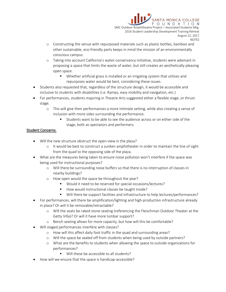**ANTA MONICA COLLEGE** FOUNDATION SMC Outdoor Amphitheatre Project – Associated Students Mtg. 2016 Student Leadership Development Training Retreat August 22, 2017 **NOTES** 

- o Constructing the venue with repurposed materials such as plastic bottles, bamboo and other sustainable, eco-friendly parts keeps in mind the mission of an environmentally conscious campus.
- o Taking into account California's water-conservancy initiative, students were adamant in proposing a space that limits the waste of water, but still creates an aesthetically pleasing open space.
	- Whether artificial grass is installed or an irrigating system that utilizes and repurposes water would be best, considering these issues.
- Students also requested that, regardless of the structure design, it would be accessible and inclusive to students with disabilities (i.e. Ramps, easy mobility and navigation, etc.)
- For performances, students majoring in Theatre Arts suggested either a flexible stage, or thrust stage.
	- o This will give their performances a more intimate setting, while also creating a sense of inclusion with more sides surrounding the performance.
		- Students want to be able to see the audience across or on either side of the stage, both as spectators and performers.

### **Student Concerns**:

- Will the new structure obstruct the open-view in the plaza?
	- $\circ$  It would be best to construct a sunken amphitheater in order to maintain the line of sight from the quad to the opposing side of the plaza.
- What are the measures being taken to ensure noise pollution won't interfere if the space was being used for instructional purposes?
	- o Will there be surrounding noise buffers so that there is no interruption of classes in nearby buildings?
	- o How open would the space be throughout the year?
		- Would it need to be reserved for special occasions/lectures?
		- How would instructional classes be taught inside?
		- Will there be support facilities and infrastructure to help lectures/performances?
- For performances, will there be amplification/lighting and high-production infrastructure already in place? Or will it be removable/retractable?
	- o Will the seats be raked stone seating (referencing the Fleischman Outdoor Theater at the Getty Villa)? Or will it have more lumbar support?
	- o Bench seating allows for more capacity, but how will this be comfortable?
- Will staged performances interfere with classes?
	- o How will this affect daily foot traffic in the quad and surrounding areas?
	- o Will the space be sealed off from students when being used by outside partners?
	- o What are the benefits to students when allowing the space to outside organizations for performances?
		- Will these be accessible to all students?
- How will we ensure that the space is handicap-accessible?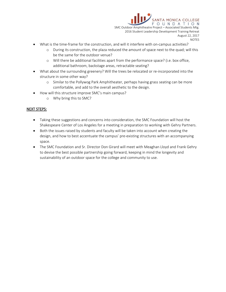

- What is the time-frame for the construction, and will it interfere with on-campus activities?
	- o During its construction, the plaza reduced the amount of space next to the quad; will this be the same for the outdoor venue?
	- o Will there be additional facilities apart from the performance space? (i.e. box office, additional bathroom, backstage areas, retractable seating?
- What about the surrounding greenery? Will the trees be relocated or re-incorporated into the structure in some other way?
	- o Similar to the Pollywog Park Amphitheater, perhaps having grass seating can be more comfortable, and add to the overall aesthetic to the design.
- How will this structure improve SMC's main campus?
	- o Why bring this to SMC?

### **NEXT STEPS:**

- Taking these suggestions and concerns into consideration, the SMC Foundation will host the Shakespeare Center of Los Angeles for a meeting in preparation to working with Gehry Partners.
- Both the issues raised by students and faculty will be taken into account when creating the design, and how to best accentuate the campus' pre-existing structures with an accompanying space.
- The SMC Foundation and Sr. Director Don Girard will meet with Meaghan Lloyd and Frank Gehry to devise the best possible partnership going forward, keeping in mind the longevity and sustainability of an outdoor space for the college and community to use.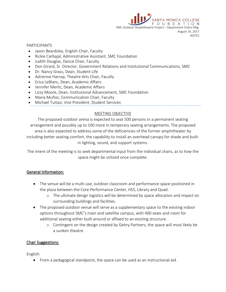

### PARTICIPANTS

- Jason Beardsley, English Chair, Faculty
- Rickie Carbajal, Administrative Assistant, SMC Foundation
- Judith Douglas, Dance Chair, Faculty
- Don Girard, Sr. Director, Government Relations and Institutional Communications, SMC
- Dr. Nancy Grass, Dean, Student Life
- Adrienne Harrop, Theatre Arts Chair, Faculty
- Erica LeBlanc, Dean, Academic Affairs
- Jennifer Merlic, Dean, Academic Affairs
- Lizzy Moore, Dean, Institutional Advancement, SMC Foundation
- Maria Muñoz, Communication Chair, Faculty
- Michael Tuitasi, Vice President, Student Services

# MEETING OBJECTIVE

The proposed outdoor arena is expected to seat 500 persons in a permanent seating arrangement and possibly up to 100 more in temporary seating arrangements. The proposed area is also expected to address some of the deficiencies of the former amphitheater by including better seating comfort, the capability to install an overhead canopy for shade and builtin lighting, sound, and support systems.

The intent of the meeting is to seek departmental input from the individual chairs, as to how the space might be utilized once complete.

# **General Information:**

- The venue will be a multi-use, outdoor classroom and performance space positioned in the plaza between the Core Performance Center, HSS, Library and Quad.
	- o The ultimate design logistics will be determined by space allocation and impact on surrounding buildings and facilities.
- The proposed outdoor venue will serve as a supplementary space to the existing indoor options throughout SMC's main and satellite campus, with 400 seats and room for additional seating either built around or affixed to an existing structure.
	- o Contingent on the design created by Gehry Partners, the space will most likely be a sunken theatre.

### **Chair Suggestions:**

English:

From a pedagogical standpoint, the space can be used as an instructional aid.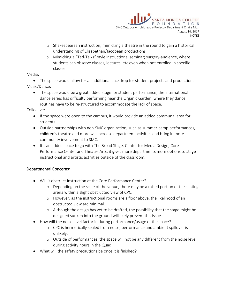

- o Shakespearean instruction; mimicking a theatre in the round to gain a historical understanding of Elizabethan/Jacobean productions
- o Mimicking a "Ted-Talks" style instructional seminar; surgery-audience, where students can observe classes, lectures, etc even when not enrolled in specific classes.

### Media:

• The space would allow for an additional backdrop for student projects and productions Music/Dance:

• The space would be a great added stage for student performance; the international dance series has difficulty performing near the Organic Garden, where they dance routines have to be re-structured to accommodate the lack of space.

Collective:

- If the space were open to the campus, it would provide an added communal area for students.
- Outside partnerships with non-SMC organization, such as summer-camp performances, children's theatre and more will increase department activities and bring in more community involvement to SMC.
- It's an added space to go with The Broad Stage, Center for Media Design, Core Performance Center and Theatre Arts; it gives more departments more options to stage instructional and artistic activities outside of the classroom.

### **Departmental Concerns**:

- Will it obstruct instruction at the Core Performance Center?
	- $\circ$  Depending on the scale of the venue, there may be a raised portion of the seating arena within a slight obstructed view of CPC.
	- o However, as the instructional rooms are a floor above, the likelihood of an obstructed view are minimal.
	- o Although the design has yet to be drafted, the possibility that the stage might be designed sunken into the ground will likely prevent this issue.
- How will the noise level factor in during performance/usage of the space?
	- o CPC is hermetically sealed from noise; performance and ambient spillover is unlikely.
	- o Outside of performances, the space will not be any different from the noise level during activity hours in the Quad.
- What will the safety precautions be once it is finished?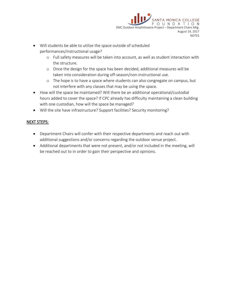

- Will students be able to utilize the space outside of scheduled performances/instructional usage?
	- o Full safety measures will be taken into account, as well as student interaction with the structure.
	- o Once the design for the space has been decided, additional measures will be taken into consideration during off-season/non-instructional use.
	- o The hope is to have a space where students can also congregate on campus, but not interfere with any classes that may be using the space.
- How will the space be maintained? Will there be an additional operational/custodial hours added to cover the space? If CPC already has difficulty maintaining a clean building with one custodian, how will the space be managed?
- Will the site have infrastructure? Support facilities? Security monitoring?

## **NEXT STEPS:**

- Department Chairs will confer with their respective departments and reach out with additional suggestions and/or concerns regarding the outdoor venue project.
- Additional departments that were not present, and/or not included in the meeting, will be reached out to in order to gain their perspective and opinions.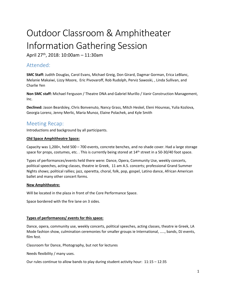# Outdoor Classroom & Amphitheater Information Gathering Session

April 27th, 2018: 10:00am – 11:30am

# Attended:

**SMC Staff:** Judith Douglas, Carol Evans, Michael Greig, Don Girard, Dagmar Gorman, Erica LeBlanc, Melanie Makaiwi, Lizzy Moore, Eric Pivovaroff, Rob Rudolph, Perviz Sawoski, , Linda Sullivan, and Charlie Yen

**Non SMC staff:** Michael Ferguson / Theatre DNA and Gabriel Murillo / Vanir Construction Management, Inc.

**Declined:** Jason Beardsley, Chris Bonvenuto, Nancy Grass, Mitch Heskel, Eleni Hioureas, Yulia Kozlova, Georgia Lorenz, Jenny Merlic, Maria Munoz, Elaine Polachek, and Kyle Smith

# Meeting Recap:

Introductions and background by all participants.

### **Old Space Amphitheatre Space:**

Capacity was 1,200+, held 500 – 700 events, concrete benches, and no shade cover. Had a large storage space for props, costumes, etc. . This is currently being stored at 14<sup>th</sup> street in a 50-30/40 foot space.

Types of performances/events held there were: Dance, Opera, Community Use, weekly concerts, political speeches, acting classes, theatre ie Greek, 11 am A.S. concerts; professional Grand Summer Nights shows; political rallies; jazz, operetta, choral, folk, pop, gospel, Latino dance, African American ballet and many other concert forms.

### **New Amphitheatre:**

Will be located in the plaza in front of the Core Performance Space.

Space bordered with the fire lane on 3 sides.

### **Types of performances/ events for this space:**

Dance, opera, community use, weekly concerts, political speeches, acting classes, theatre ie Greek, LA Mode fashion show, culmination ceremonies for smaller groups ie International, ….., bands, DJ events, film fest.

Classroom for Dance, Photography, but not for lectures

Needs flexibility / many uses.

Our rules continue to allow bands to play during student activity hour: 11:15 – 12:35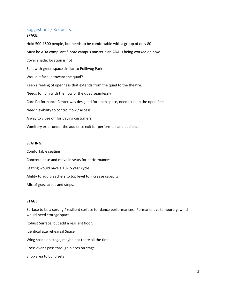# Suggestions / Requests:

### **SPACE:**

Hold 500-1500 people, but needs to be comfortable with a group of only 80 Must be ADA compliant \* note campus master plan ADA is being worked on now. Cover shade: location is hot Split with green space similar to Polliwog Park Would it face in toward the quad? Keep a feeling of openness that extends from the quad to the theatre. Needs to fit in with the flow of the quad seamlessly Core Performance Center was designed for open space, need to keep the open feel. Need flexibility to control flow / access. A way to close off for paying customers. Vomitory exit - under the audience exit for performers and audience

### **SEATING:**

Comfortable seating

Concrete base and move in seats for performances.

Seating would have a 10-15 year cycle.

Ability to add bleachers to top level to increase capacity

Mix of grass areas and steps.

### **STAGE:**

Surface to be a sprung / resilient surface for dance performances. Permanent vs temporary, which would need storage space.

Robust Surface, but add a resilient floor. Identical size rehearsal Space Wing space on stage, maybe not there all the time Cross over / pass through places on stage Shop area to build sets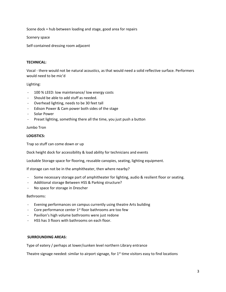Scene dock = hub between loading and stage, good area for repairs

Scenery space

Self-contained dressing room adjacent

### **TECHNICAL:**

Vocal - there would not be natural acoustics, as that would need a solid reflective surface. Performers would need to be mic'd

### Lighting:

- 100 % LEED: low maintenance/ low energy costs
- Should be able to add stuff as needed.
- Overhead lighting, needs to be 30 feet tall
- Edison Power & Cam power both sides of the stage
- Solar Power
- Preset lighting, something there all the time, you just push a button

### Jumbo Tron

### **LOGISTICS:**

Trap so stuff can come down or up

Dock height dock for accessibility & load ability for technicians and events

Lockable Storage space for flooring, reusable canopies, seating, lighting equipment.

If storage can not be in the amphitheater, then where nearby?

- Some necessary storage part of amphitheater for lighting, audio & resilient floor or seating.
- Additional storage Between HSS & Parking structure?
- No space for storage in Drescher

### Bathrooms:

- Evening performances on campus currently using theatre Arts building
- Core performance center 1<sup>st</sup> floor bathrooms are too few
- Pavilion's high volume bathrooms were just redone
- HSS has 3 floors with bathrooms on each floor.

### **SURROUNDING AREAS:**

Type of eatery / perhaps at lower/sunken level northern Library entrance

Theatre signage needed: similar to airport signage, for  $1<sup>st</sup>$  time visitors easy to find locations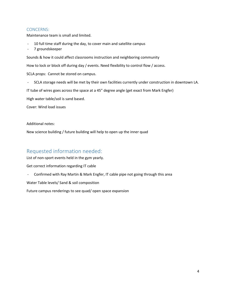### CONCERNS:

Maintenance team is small and limited.

- 10 full time staff during the day, to cover main and satellite campus
- 7 groundskeeper

Sounds & how it could affect classrooms instruction and neighboring community

How to lock or block off during day / events. Need flexibility to control flow / access.

SCLA props: Cannot be stored on campus.

- SCLA storage needs will be met by their own facilities currently under construction in downtown LA.

IT tube of wires goes across the space at a 45" degree angle (get exact from Mark Engfer)

High water table/soil is sand based.

Cover: Wind load issues

Additional notes:

New science building / future building will help to open up the inner quad

# Requested information needed:

List of non-sport events held in the gym yearly.

Get correct information regarding IT cable

- Confirmed with Ray Martin & Mark Engfer, IT cable pipe not going through this area

Water Table levels/ Sand & soil composition

Future campus renderings to see quad/ open space expansion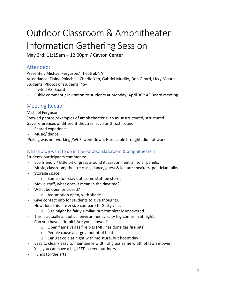# Outdoor Classroom & Amphitheater Information Gathering Session

May 3rd: 11:15am – 12:00pm / Cayton Center

# Attended:

Presenter: Michael Ferguson/ TheatreDNA Attendance: Elaine Polachek, Charlie Yen, Gabriel Murillo, Don Girard, Lizzy Moore

- Students: Photos of students, 45+
- Invited AS Board
- Public comment / Invitation to students at Monday, April 30<sup>th</sup> AS Board meeting

# Meeting Recap:

Michael Ferguson:

Showed photos /examples of amphitheater such as unstructured, structured Gave references of different theatres, such as thrust, round

- Shared experience
- Music/ dance

Polling was not working /Wi-Fi went down. Hard cable brought, did not work.

# What do we want to do in the outdoor classroom & amphitheater?

Student/ participants comments:

- Eco friendly / little bit of grass around it: carbon neutral, solar panels.
- Music, classroom, theatre class, dance, guest & lecture speakers, politician talks
- Storage space
	- o Some stuff stay out, some stuff be stored
- Movie stuff, what does it mean in the daytime?
- Will it be open or closed?
	- o Assumption open, with shade
- Give contact info for students to give thoughts.
- How does this site & size compare to Getty villa,
	- o Size might be fairly similar, but completely uncovered.
- This is actually a nautical environment / salty fog comes in at night.
- Can you have a firepit? Are you allowed?
	- o Open flame vs gas fire pits (MF: has done gas fire pits)
	- o People cause a large amount of heat
	- o Can get cold at night with moisture, but hot at day
- Easy to clean/ easy to maintain ie width of grass same width of lawn mower.
- Yes, you can have a big LEED screen outdoors
- Funds for the arts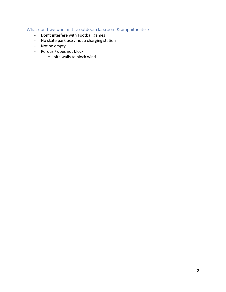# What don't we want in the outdoor classroom & amphitheater?

- Don't interfere with Football games
- No skate park use / not a charging station
- Not be empty
- Porous / does not block
	- o site walls to block wind